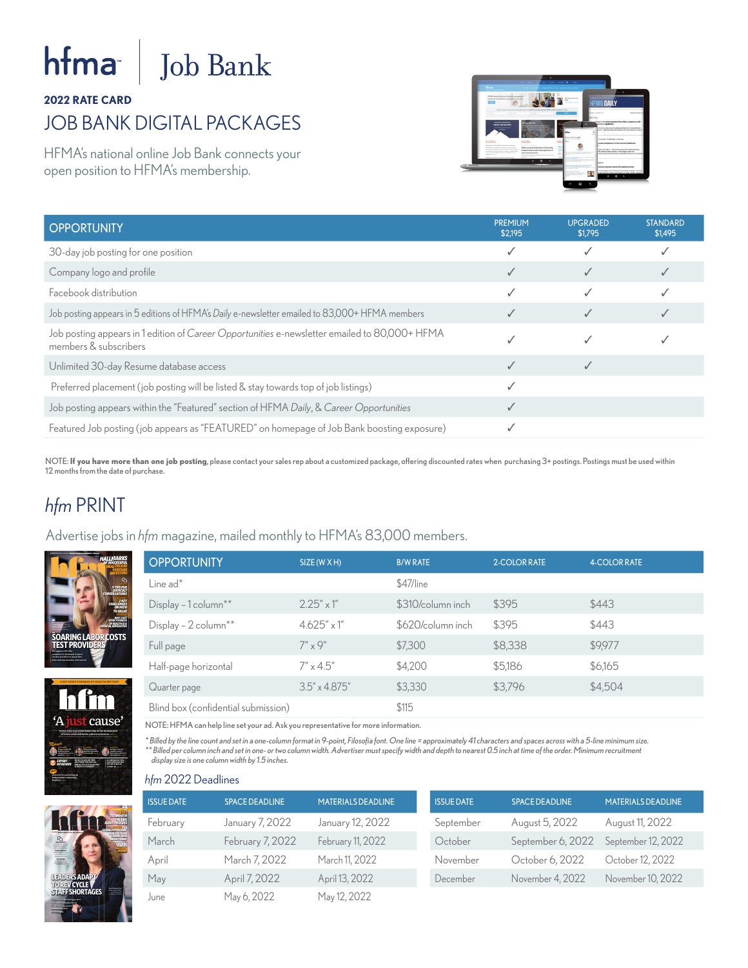# **fma** $\vert$  **Job Bank**

#### **2022 RATE CARD**

## JOB BANK DIGITAL PACKAGES

HFMA's national online Job Bank connects your open position to HFMA's membership.



| <b>OPPORTUNITY</b>                                                                                                     | <b>PREMIUM</b><br>\$2,195 | <b>UPGRADED</b><br>\$1,795 | <b>STANDARD</b><br>\$1,495 |
|------------------------------------------------------------------------------------------------------------------------|---------------------------|----------------------------|----------------------------|
| 30-day job posting for one position                                                                                    |                           |                            |                            |
| Company logo and profile                                                                                               |                           |                            |                            |
| Facebook distribution                                                                                                  |                           |                            |                            |
| Job posting appears in 5 editions of HFMA's Daily e-newsletter emailed to 83,000+ HFMA members                         |                           |                            |                            |
| Job posting appears in 1 edition of Career Opportunities e-newsletter emailed to 80,000+ HFMA<br>members & subscribers |                           |                            |                            |
| Unlimited 30-day Resume database access                                                                                |                           |                            |                            |
| Preferred placement (job posting will be listed & stay towards top of job listings)                                    |                           |                            |                            |
| Job posting appears within the "Featured" section of HFMA Daily, & Career Opportunities                                |                           |                            |                            |
| Featured Job posting (job appears as "FEATURED" on homepage of Job Bank boosting exposure)                             |                           |                            |                            |

NOTE: **If you have more than one job posting**, please contact your sales rep about a customized package, offering discounted rates when purchasing 3+ postings. Postings must be used within 12 months from the date of purchase.

#### *hfm* PRINT

Advertise jobs in *hfm* magazine, mailed monthly to HFMA's 83,000 members.







NOTE: HFMA can help line set your ad. Ask you representative for more information.

*\* Billed by the line count and set in a one-column format in 9-point, Filosofia font. One line = approximately 41 characters and spaces across with a 5-line minimum size. \*\* Billed per column inch and set in one- or two column width. Advertiser must specify width and depth to nearest 0.5 inch at time of the order. Minimum recruitment display size is one column width by 1.5 inches.*



#### *hfm* 2022 Deadlines

| <b>ISSUE DATE</b> | <b>SPACE DEADLINE</b> | <b>MATERIALS DEADLINE</b> | <b>ISSUE DATE</b> | <b>SPACE DEADLINE</b> | <b>MATERIALS DEADLINE</b> |
|-------------------|-----------------------|---------------------------|-------------------|-----------------------|---------------------------|
| February          | January 7, 2022       | January 12, 2022          | September         | August 5, 2022        | August 11, 2022           |
| March             | February 7, 2022      | February 11, 2022         | October           | September 6, 2022     | September 12, 2022        |
| April             | March 7, 2022         | March 11, 2022            | November          | October 6, 2022       | October 12, 2022          |
| May               | April 7, 2022         | April 13, 2022            | December          | November 4, 2022      | November 10, 2022         |
| June              | May 6, 2022           | May 12, 2022              |                   |                       |                           |